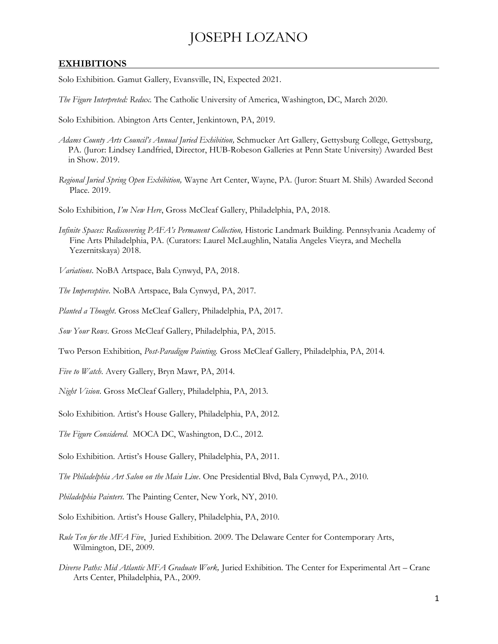## JOSEPH LOZANO

#### **EXHIBITIONS**

Solo Exhibition. Gamut Gallery, Evansville, IN, Expected 2021.

*The Figure Interpreted: Redux.* The Catholic University of America, Washington, DC, March 2020.

Solo Exhibition. Abington Arts Center, Jenkintown, PA, 2019.

- *Adams County Arts Council's Annual Juried Exhibition,* Schmucker Art Gallery, Gettysburg College, Gettysburg, PA. (Juror: Lindsey Landfried, Director, HUB-Robeson Galleries at Penn State University) Awarded Best in Show. 2019.
- *Regional Juried Spring Open Exhibition,* Wayne Art Center, Wayne, PA. (Juror: Stuart M. Shils) Awarded Second Place. 2019.

Solo Exhibition, *I'm New Here*, Gross McCleaf Gallery, Philadelphia, PA, 2018.

*Infinite Spaces: Rediscovering PAFA's Permanent Collection,* Historic Landmark Building. Pennsylvania Academy of Fine Arts Philadelphia, PA. (Curators: Laurel McLaughlin, Natalia Angeles Vieyra, and Mechella Yezernitskaya) 2018.

*Variations*. NoBA Artspace, Bala Cynwyd, PA, 2018.

*The Imperceptive*. NoBA Artspace, Bala Cynwyd, PA, 2017.

*Planted a Thought*. Gross McCleaf Gallery, Philadelphia, PA, 2017.

*Sow Your Rows*. Gross McCleaf Gallery, Philadelphia, PA, 2015.

Two Person Exhibition, *Post-Paradigm Painting.* Gross McCleaf Gallery, Philadelphia, PA, 2014.

*Five to Watch*. Avery Gallery, Bryn Mawr, PA, 2014.

*Night Vision*. Gross McCleaf Gallery, Philadelphia, PA, 2013.

Solo Exhibition. Artist's House Gallery, Philadelphia, PA, 2012.

*The Figure Considered*. MOCA DC, Washington, D.C., 2012.

Solo Exhibition. Artist's House Gallery, Philadelphia, PA, 2011.

*The Philadelphia Art Salon on the Main Line*. One Presidential Blvd, Bala Cynwyd, PA., 2010.

*Philadelphia Painters.* The Painting Center, New York, NY, 2010.

Solo Exhibition. Artist's House Gallery, Philadelphia, PA, 2010.

- *Rule Ten for the MFA Five*, Juried Exhibition*.* 2009. The Delaware Center for Contemporary Arts, Wilmington, DE, 2009.
- *Diverse Paths: Mid Atlantic MFA Graduate Work,* Juried Exhibition*.* The Center for Experimental Art Crane Arts Center, Philadelphia, PA., 2009.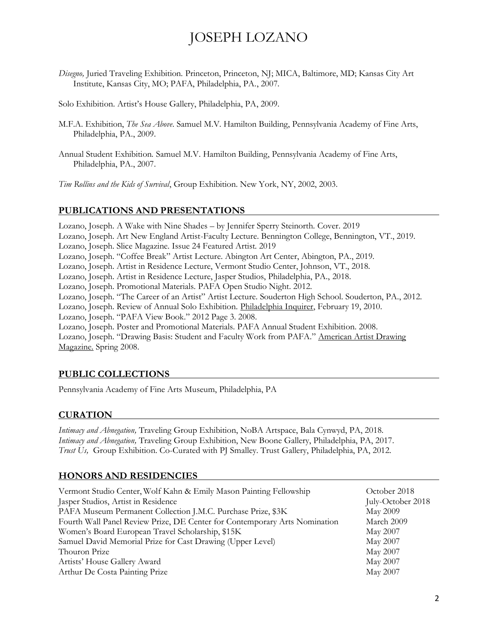# JOSEPH LOZANO

*Disegno,* Juried Traveling Exhibition*.* Princeton, Princeton, NJ; MICA, Baltimore, MD; Kansas City Art Institute, Kansas City, MO; PAFA, Philadelphia, PA., 2007.

Solo Exhibition. Artist's House Gallery, Philadelphia, PA, 2009.

- M.F.A. Exhibition, *The Sea Above*. Samuel M.V. Hamilton Building, Pennsylvania Academy of Fine Arts, Philadelphia, PA., 2009.
- Annual Student Exhibition*.* Samuel M.V. Hamilton Building, Pennsylvania Academy of Fine Arts, Philadelphia, PA., 2007.

*Tim Rollins and the Kids of Survival*, Group Exhibition. New York, NY, 2002, 2003.

### **PUBLICATIONS AND PRESENTATIONS**

Lozano, Joseph. A Wake with Nine Shades – by Jennifer Sperry Steinorth. Cover. 2019 Lozano, Joseph. Art New England Artist-Faculty Lecture. Bennington College, Bennington, VT., 2019. Lozano, Joseph. Slice Magazine. Issue 24 Featured Artist. 2019 Lozano, Joseph. "Coffee Break" Artist Lecture. Abington Art Center, Abington, PA., 2019. Lozano, Joseph. Artist in Residence Lecture, Vermont Studio Center, Johnson, VT., 2018. Lozano, Joseph. Artist in Residence Lecture, Jasper Studios, Philadelphia, PA., 2018. Lozano, Joseph. Promotional Materials. PAFA Open Studio Night. 2012. Lozano, Joseph. "The Career of an Artist" Artist Lecture. Souderton High School. Souderton, PA., 2012. Lozano, Joseph. Review of Annual Solo Exhibition. Philadelphia Inquirer, February 19, 2010. Lozano, Joseph. "PAFA View Book." 2012 Page 3. 2008. Lozano, Joseph. Poster and Promotional Materials. PAFA Annual Student Exhibition. 2008. Lozano, Joseph. "Drawing Basis: Student and Faculty Work from PAFA." American Artist Drawing Magazine. Spring 2008.

#### **PUBLIC COLLECTIONS**

Pennsylvania Academy of Fine Arts Museum, Philadelphia, PA

#### **CURATION**

*Intimacy and Abnegation,* Traveling Group Exhibition, NoBA Artspace, Bala Cynwyd, PA, 2018. *Intimacy and Abnegation,* Traveling Group Exhibition, New Boone Gallery, Philadelphia, PA, 2017. *Trust Us,* Group Exhibition. Co-Curated with PJ Smalley. Trust Gallery, Philadelphia, PA, 2012.

#### **HONORS AND RESIDENCIES**

| Vermont Studio Center, Wolf Kahn & Emily Mason Painting Fellowship         | October 2018      |
|----------------------------------------------------------------------------|-------------------|
| Jasper Studios, Artist in Residence                                        | July-October 2018 |
| PAFA Museum Permanent Collection J.M.C. Purchase Prize, \$3K               | <b>May 2009</b>   |
| Fourth Wall Panel Review Prize, DE Center for Contemporary Arts Nomination | March 2009        |
| Women's Board European Travel Scholarship, \$15K                           | May 2007          |
| Samuel David Memorial Prize for Cast Drawing (Upper Level)                 | May 2007          |
| Thouron Prize                                                              | May 2007          |
| Artists' House Gallery Award                                               | May 2007          |
| Arthur De Costa Painting Prize                                             | May 2007          |